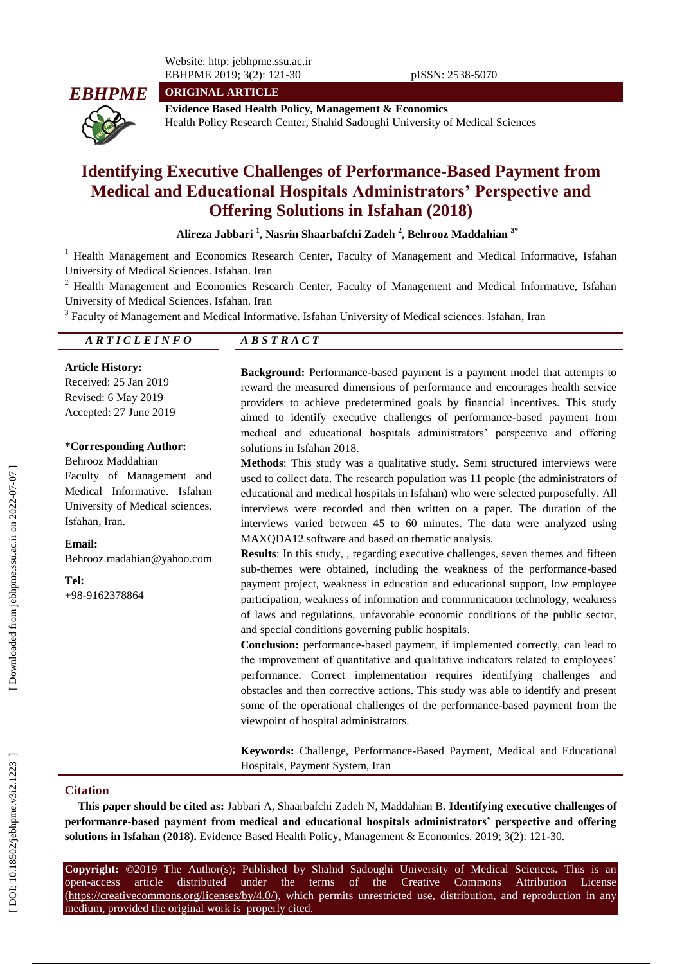Website: http: jebhpme.ssu.ac.ir EBHPME 201 9; 3(2): 121

**ORIGINAL ARTICLE**



**Evidence Based Health Policy, Management & Economics** Health Policy Research Center, Shahid Sadoughi University of Medical Sciences

# **Identifying Executive Challenges of Performance -Based Payment from Medical and Educational Hospitals Administrators' Perspective and Offering Solutions in Isfahan (2018)**

**Alireza Jabbari 1 , Nasrin Shaarbafchi Zadeh 2 , Behro oz Maddahian 3\***

<sup>1</sup> Health Management and Economics Research Center, Faculty of Management and Medical Informative, Isfahan University of Medical Sciences. Isfahan. Iran

<sup>2</sup> Health Management and Economics Research Center, Faculty of Management and Medical Informative, Isfahan University of Medical Sciences. Isfahan. Iran

<sup>3</sup> Faculty of Management and Medical Informative. Isfahan University of Medical sciences. Isfahan, Iran

#### *A R T I C L E I N F O A B S T R A C T*

#### **Article History:**

Received: 2 5 Jan 201 9 Revised: 6 May 201 9 Accepted: 27 June 201 9

#### **\*Corresponding Author:**

Behrooz Maddahian Faculty of Management and Medical Informative. Isfahan University of Medical sciences. Isfahan, Iran.

**Email:** Behrooz.madahian@yahoo.com

**Tel:** +98 -9162378864

Background: Performance-based payment is a payment model that attempts to reward the measured dimensions of performance and encourages health service providers to achieve predetermined goals by financial incentives. This study aimed to identify executive challenges of performance -based payment from medical and educational hospitals administrators' perspective and offering solutions in Isfahan 2018 .

**Methods**: This study was a qualitative study. Semi structured interviews were used to collect data. The research population was 11 people (the administrators of educational and medical hospitals in Isfahan) who were selected purposefully . All interviews were recorded and then written on a paper. The duration of the interviews varied between 45 to 60 minutes. The data were analyzed using MAXQDA12 software and based on thematic analysis.

**Results**: In this study, , regarding executive challenges, seven themes and fifteen sub -themes were obtained, including the weakness of the performance -based payment project, weakness in education and educational support, low employee participation, weakness of information and communication technology, weakness of laws and regulations, unfavorable economic conditions of the public sector, and special conditions governing public hospitals .

Conclusion: performance-based payment, if implemented correctly, can lead to the improvement of quantitative and qualitative indicators related to employees' performance. Correct implementation requires identifying challenges and obstacles and then corrective actions. This study was able to identify and present some of the operational challenges of the performance -based payment from the viewpoint of hospital administrators.

**Keywords:** Challenge, Performance -Based Payment, Medical and Educational Hospitals, Payment System, Iran

#### **Citation**

**This paper should be cited as:** Jabbari A, Shaarbafchi Zadeh N, Maddahian B. **Identifying executive challenges of performance -based payment from medical and educational hospitals administrators' perspective and offering**  solutions in Isfahan (2018). Evidence Based Health Policy, Management & Economics. 2019; 3(2): 121-30.

**Copyright:** ©201 9 The Author(s); Published by Shahid Sadoughi University of Medical Sciences. This is an open-access -access article distributed under the terms of the Creative Commons Attribution License (https://creativecommons.org/licenses/by/4.0/), which permits unrestricted use, distribution, and reproduction in any medium, provided the original work is properly cited.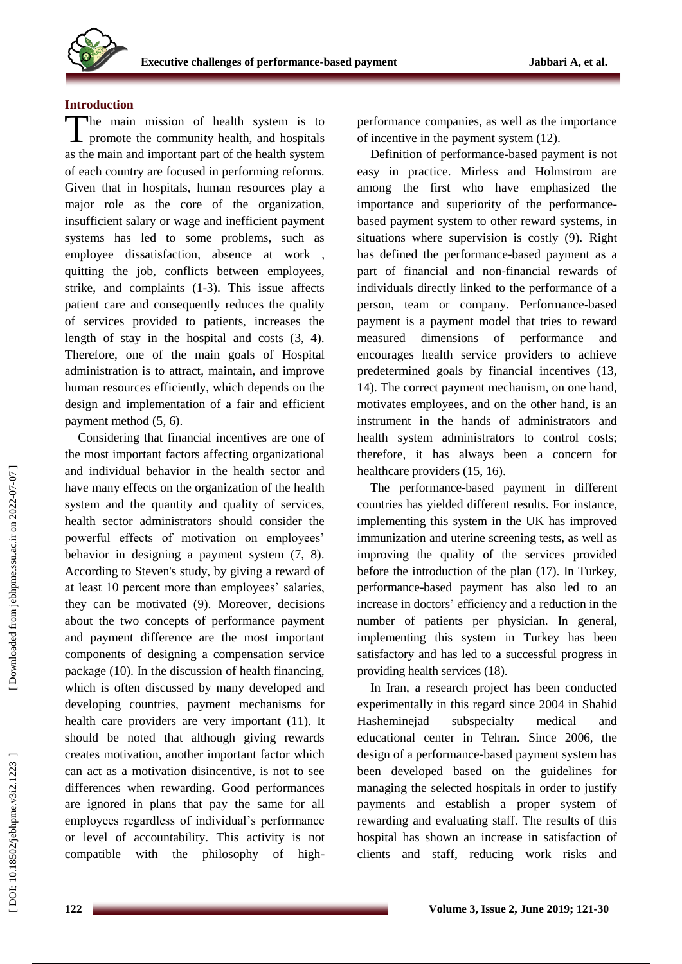

#### **Introduction**

The main mission of health system is to promote the community health, and hospitals promote the community health, and hospitals as the main and important part of the health system of each country are focused in performing reforms. Given that in hospitals, human resources play a major role as the core of the organization, insufficient salary or wage and inefficient payment systems has led to some problems, such as employee dissatisfaction, absence at work , quitting the job, conflicts between employees, strike, and complaints (1 -3). This issue affects patient care and consequently reduces the quality of services provided to patients, increases the length of stay in the hospital and costs (3, 4). Therefore, one of the main goals of Hospital administration is to attract, maintain, and improve human resources efficiently, which depends on the design and implementation of a fair and efficient payment method (5, 6).

Considering that financial incentives are one of the most important factors affecting organizational and individual behavior in the health sector and have many effects on the organization of the health system and the quantity and quality of services, health sector administrators should consider the powerful effects of motivation on employees' behavior in designing a payment system (7, 8). According to Steven's study, by giving a reward of at least 10 percent more than employees' salaries, they can be motivated (9). Moreover, decisions about the two concepts of performance payment and payment difference are the most important components of designing a compensation service package (10). In the discussion of health financing, which is often discussed by many developed and developing countries, payment mechanisms for health care providers are very important (11). It should be noted that although giving rewards creates motivation, another important factor which can act as a motivation disincentive, is not to see differences when rewarding. Good performances are ignored in plans that pay the same for all employees regardless of individual's performance or level of accountability. This activity is not compatible with the philosophy of high -

performance companies, as well as the importance of incentive in the payment system (12).

Definition of performance -based payment is not easy in practice. Mirless and Holmstrom are among the first who have emphasized the importance and superiority of the performance based payment system to other reward systems, in situations where supervision is costly (9). Right has defined the performance -based payment as a part of financial and non -financial rewards of individuals directly linked to the performance of a person, team or company. Performance -based payment is a payment model that tries to reward measured dimensions of performance and encourages health service providers to achieve predetermined goals by financial incentives (13, 14). The correct payment mechanism, on one hand, motivates employees, and on the other hand, is an instrument in the hands of administrators and health system administrators to control costs; therefore, it has always been a concern for healthcare providers (15, 16).

The performance -based payment in different countries has yielded different results. For instance, implementing this system in the UK has improved immunization and uterine screening tests, as well as improving the quality of the services provided before the introduction of the plan (17). In Turkey, performance -based payment has also led to an increase in doctors' efficiency and a reduction in the number of patients per physician. In general, implementing this system in Turkey has been satisfactory and has led to a successful progress in providing health services (18).

In Iran, a research project has been conducted experimentally in this regard since 2004 in Shahid Hasheminejad subspecialty medical and educational center in Tehran. Since 2006, the design of a performance -based payment system has been developed based on the guidelines for managing the selected hospitals in order to justify payments and establish a proper system of rewarding and evaluating staff. The results of this hospital has shown an increase in satisfaction of clients and staff, reducing work risks and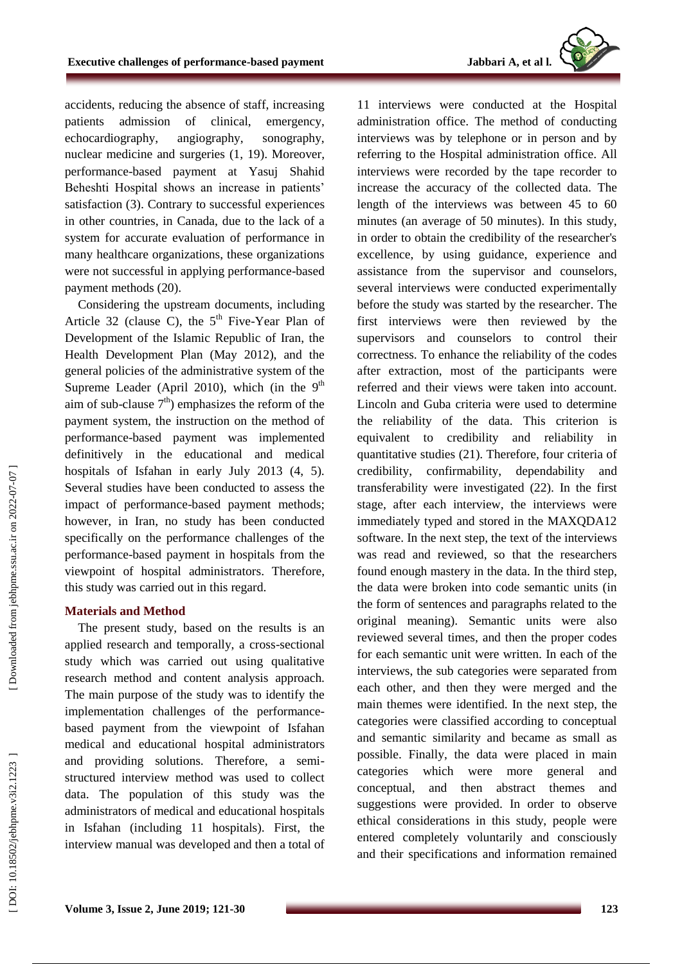accidents, reducing the absence of staff, increasing patients admission of clinical, emergency, echocardiography, angiography, sonography, nuclear medicine and surgeries (1, 19). Moreover, performance -based payment at Yasuj Shahid Beheshti Hospital shows an increase in patients' satisfaction (3). Contrary to successful experiences in other countries, in Canada, due to the lack of a system for accurate evaluation of performance in many healthcare organizations, these organizations were not successful in applying performance -based payment methods (20).

Considering the upstream documents, including Article 32 (clause C), the  $5<sup>th</sup>$  Five-Year Plan of Development of the Islamic Republic of Iran, the Health Development Plan (May 2012), and the general policies of the administrative system of the Supreme Leader (April 2010), which (in the  $9<sup>th</sup>$ aim of sub-clause  $7<sup>th</sup>$ ) emphasizes the reform of the payment system, the instruction on the method of performance -based payment was implemented definitively in the educational and medical hospitals of Isfahan in early July 2013 (4, 5). Several studies have been conducted to assess the impact of performance -based payment methods; however, in Iran, no study has been conducted specifically on the performance challenges of the performance -based payment in hospitals from the viewpoint of hospital administrators. Therefore, this study was carried out in this regard .

#### **Materials and Method**

The present study, based on the results is an applied research and temporally, a cross -sectional study which was carried out using qualitative research method and content analysis approach. The main purpose of the study was to identify the implementation challenges of the performance based payment from the viewpoint of Isfahan medical and educational hospital administrators and providing solutions. Therefore, a semi structured interview method was used to collect data. The population of this study was the administrators of medica l and educational hospitals in Isfahan (including 11 hospitals). First, the interview manual was developed and then a total of

11 interviews were conducted at the Hospital administration office. The method of conducting interviews was by telephone or in person and by referring to the Hospital administration office. All interviews were recorded by the tape recorder to increase the accuracy of the collected data. The length of the interviews was between 45 to 60 minutes (an average of 50 minutes). In this study, in order to obtain the credibility of the researcher's excellence, by using guidance, experience and assistance from the supervisor and counselors, several interviews were conducted experimentally before the study was started by the researcher. The first interviews were then reviewed by the supervisors and counselors to control their correctness. To enhance the reliability of the codes after extraction, most of the participants were referred and their views were taken into account. Lincoln and Guba criteria were used to determine the reliability of the data. This criterion is equivalent to credibility and reliability in quantitative studie s (21). Therefore, four criteria of credibility, confirmability, dependability and transferability were investigated (22). In the first stage, after each interview, the interviews were immediately typed and stored in the MAXQDA12 software. In the next step, the text of the interviews was read and reviewed, so that the researchers found enough mastery in the data. In the third step, the data were broken into code semantic units (in the form of sentences and paragraphs related to the original meaning). Semantic units were also reviewed several times, and then the proper codes for each semantic unit were written. In each of the interviews, the sub categories were separated from each other, and then they were merged and the main themes were identified. In the next step, the categories were classified according to conceptual and semantic similarity and became as small as possible. Finally, the data were placed in main categories which were more general and conceptual, and then abstract themes and suggestions were provided. In order to observe ethical considerations in this study, people were entered completely voluntarily and consciously and their specifications and information remained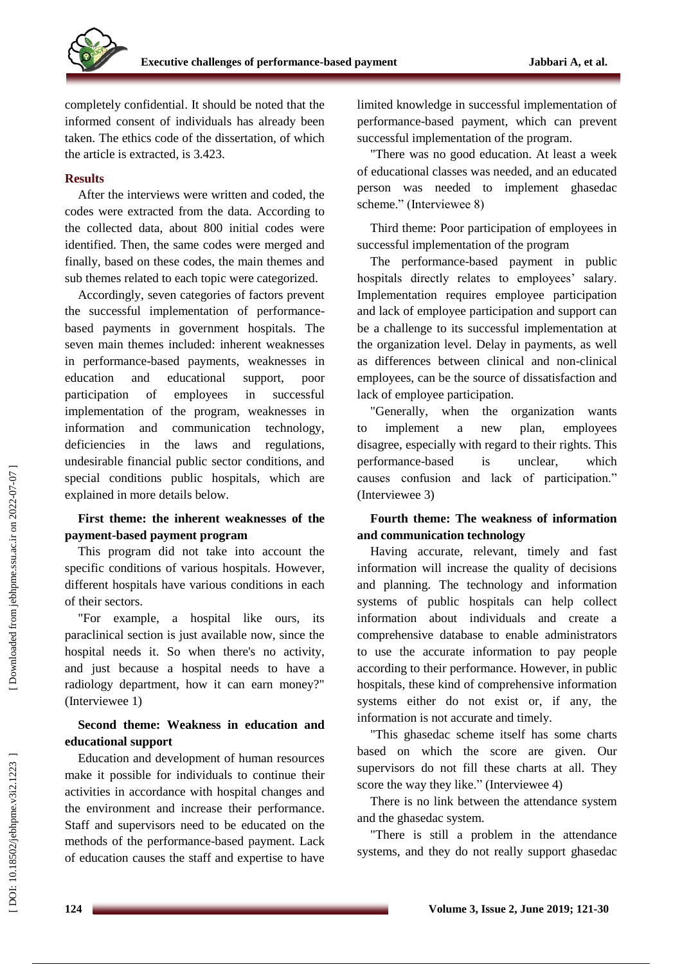

completely confidential. It should be noted that the informed consent of individuals has already been taken. The ethics code of the dissertation, of which the article is extracted, is 3.423.

### **Results**

After the interviews were written and coded, the codes were extracted from the data. According to the collected data, about 800 initial codes were identified. Then, the same codes were merged and finally, based on these codes, the main themes and sub themes related to each topic were categorized.

Accordingly, seven categories of factors prevent the successful implementation of performance based payments in government hospitals. The seven main themes included : inherent weaknesses in performance -based payments, weaknesses in education and educational support, poor participation of employees in successful implementation of the program, weaknesses in information and communication technology, deficiencies in the laws and regulations, undesirable financial public sector conditions, and special conditions public hospitals, which are explained in more detail s below.

## **First theme: the inherent weaknesses of the payment -based payment program**

This program did not take into account the specific conditions of various hospitals. However, different hospitals have various conditions in each of their sectors.

"For example, a hospital like ours, its paraclinical section is just available now, since the hospital needs it. So when there's no activity, and just because a hospital needs to have a radiology department, how it can earn money?" (Interviewee 1)

## **Second theme: Weakness in education and educational support**

Education and development of human resources make it possible for individuals to continue their activities in accordance with hospital changes and the environment and increase their performance . Staff and supervisors need to be educated on the methods of the performance -based payment . Lack of education causes the staff and expertise to have

limited knowledge in successful implementation of performance -based payment, which can prevent successful implementation of the program .

"There was no good education. At least a week of educational classes was needed, and an educated person was needed to implement ghasedac scheme." (Interviewee 8)

Third theme: Poor participation of employees in successful implementation of the program

The performance -based payment in public hospitals directly relates to employees' salary. Implementation requires employee participation and lack of employee participation and support can be a challenge to its successful implementation at the organization level. Delay in payments, as well as differences between clinical and non -clinical employees, can be the source of dissatisfaction and lack of employee participation.

"Generally, when the organization wants to implement a new plan, employees disagree, especially with regard to their rights. This performance is unclear, which causes confusion and lack of participation." (Interviewee 3)

### **Fourth theme: The weakness of information and communication technology**

Having accurate, relevant, timely and fast information will increase the quality of decisions and planning. The technology and information systems of public hospitals can help collect information about individuals and create a comprehensive database to enable administrators to use the accurate information to pay people according to their performance. However, in public hospitals, these kind of comprehensive information systems either do not exist or, if any, the information is not accurate and timely.

"This ghasedac scheme itself has some charts based on which the score are given. Our supervisors do not fill these charts at all. They score the way they like." (Interviewee 4)

There is no link between the attendance system and the ghasedac system.

"There is still a problem in the attendance systems, and they do not really support ghasedac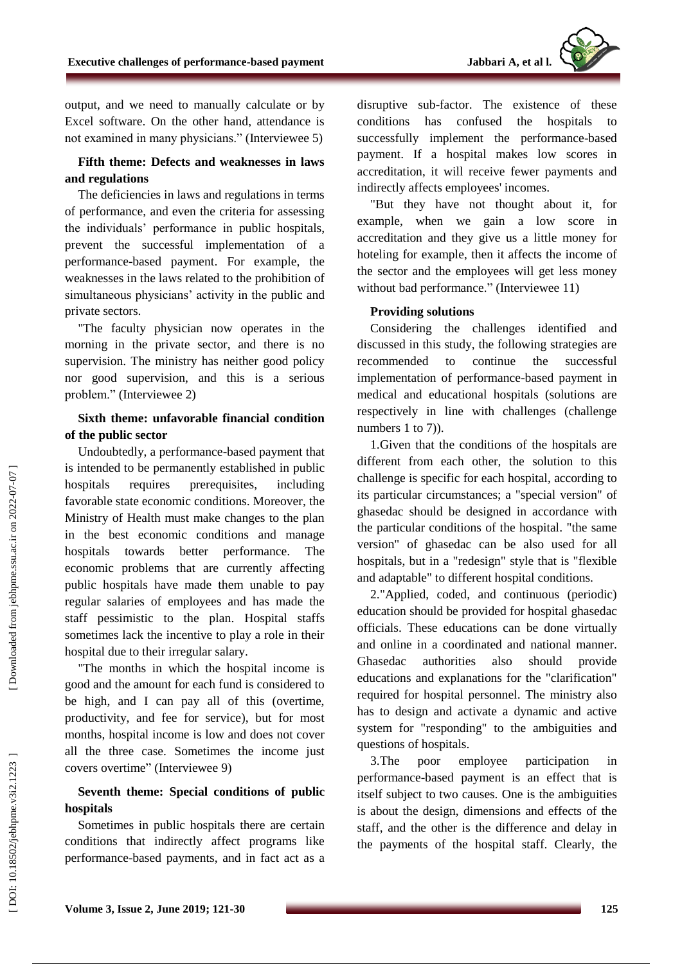output, and we need to manually calculate or by Excel software. On the other hand, attendance is not examined in many physicians." (Interviewee 5)

#### **Fifth theme: Defects and weaknesses in laws and regulations**

The deficiencies in laws and regulations in terms of performance, and even the criteria for assessing the individuals' performance in public hospitals, prevent the successful implementation of a performance -based payment . For example, the weaknesses in the laws related to the prohibition of simultaneous physicians' activity in the public and private sectors.

"The faculty physician now operates in the morning in the private sector, and there is no supervision. The ministry has neither good policy nor good supervision, and this is a serious problem." (Interviewee 2)

#### **Sixth theme: unfavorable financial condition of the public sector**

Undoubtedly, a performance -based payment that is intended to be permanently established in public hospitals requires prerequisites, including favorable state economic conditions. Moreover, the Ministry of Health must make changes to the plan in the best economic conditions and manage hospitals towards better performance. The economic problems that are currently affecting public hospitals have made them unable to pay regular salaries of employees and has made the staff pessimistic to the plan . Hospital staffs sometimes lack the incentive to play a role in their hospital due to their irregular salary.

"The months in which the hospital income is good and the amount for each fund is considered to be high, and I can pay all of this (overtime, productivity, and fee for service), but for most months, hospital income is low and does not cover all the three case. Sometimes the income just covers overtime" (Interviewee 9)

## **Seventh theme: Special conditions of public hospitals**

Sometimes in public hospitals there are certain conditions that indirectly affect programs like performance -based payments, and in fact act as a

disruptive sub -factor. The existence of these conditions has confused the hospitals to successfully implement the performance -based payment. If a hospital makes low scores in accreditation, it will receive fewer payments and indirectly affects employees' incomes.

"But they have not thought about it, for example, when we gain a low score in accreditation and they give us a little money for hoteling for example, then it affects the income of the sector and the employees will get less money without bad performance." (Interviewee 11)

#### **Providing solutions**

Considering the challenges identified and discussed in this study, the following strategies are recommended to continue the successful implementation of performance -based payment in medical and educational hospitals (solutions are respectively in line with challenges (challenge numbers 1 to 7).

1.Given that the conditions of the hospitals are different from each other, the solution to this challenge is specific for each hospital, according to its particular circumstances; a "special version" of ghasedac should be designed in accordance with the particular conditions of the hospital. "the same version" of ghasedac can be also used for all hospitals, but in a "redesign" style that is "flexible and adaptable" to different hospital conditions.

2."Applied, coded, and continuous (periodic) education should be provided for hospital ghasedac officials. These educations can be done virtually and online in a coordinated and national manner. Ghasedac authorities also should provide educations and explanations for the "clarification" required for hospital personnel. The ministry also has to design and activate a dynamic and active system for "responding" to the ambiguities and questions of hospitals.

3.The poor employee participation in performance -based payment is an effect that is itself subject to two causes. One is the ambiguities is about the design, dimensions and effects of the staff, and the other is the difference and delay in the payments of the hospital staff. Clearly, the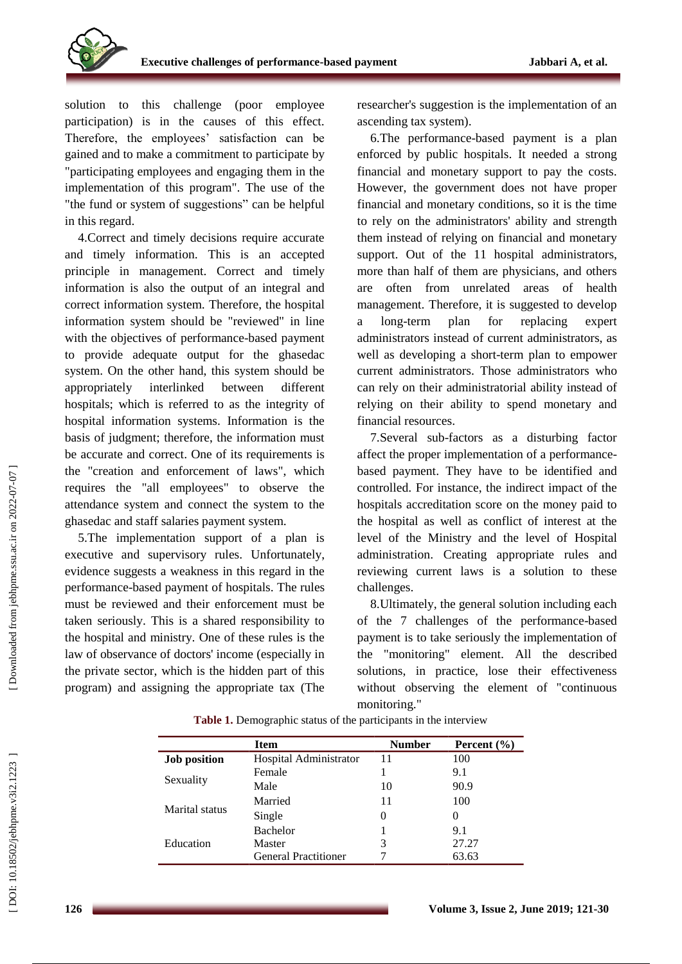

solution to this challenge (poor employee participation) is in the causes of this effect. Therefore, the employees' satisfaction can be gained and to make a commitment to participate by "participating employees and engaging them in the implementation of this program". The use of the "the fund or system of suggestions" can be helpful in this regard.

4.Correct and timely decisions require accurate and timely information. This is an accepted principle in management. Correct and timely information is also the output of an integral and correct information system. Therefore, the hospital information system should be "reviewed" in line with the objectives of performance -based payment to provide adequate output for the ghasedac system . On the other hand, this system should be appropriately interlinked between different hospitals; which is referred to as the integrity of hospital information systems. Information is the basis of judgment; therefore, the information must be accurate and correct. One of its requirements is the "creation and enforcement of laws", which requires the "all employees" to observe the attendance system and connect the system to the ghasedac and staff salaries payment system.

5.The implementation support of a plan is executive and supervisory rules. Unfortunately, evidence suggests a weakness in this regard in the performance -based payment of hospitals. The rules must be reviewed and their enforcement must be taken seriously. This is a shared responsibility to the hospital and ministry. One of these rules is the law of observance of doctors' income (especially in the private sector, which is the hidden part of this program) and assigning the appropriate tax (The

researcher's suggestion is the implementation of an ascending tax system).

6.The performance -based payment is a plan enforced by public hospitals. It needed a strong financial and monetary support to pay the costs. However, the government does not have proper financial and monetary conditions, so it is the time to rely on the administrators' ability and strength them instead of relying on financial and monetary support. Out of the 11 hospital administrators, more than half of them are physicians, and others are often from unrelated areas of health management. Therefore, it is suggested to develop a long plan for replacing expert administrators instead of current administrators, as well as developing a short -term plan to empower current administrators. Those administrators who can rely on their administratorial ability instead of relying on their ability to spend monetary and financial resources.

7.Several sub-factors as a disturbing factor affect the proper implementation of a performance based payment. They have to be identified and controlled. For instance, the indirect impact of the hospitals accreditation score on the money paid to the hospital as well as conflict of interest at the level of the Ministry and the level of Hospital administration . Creating appropriate rules and reviewing current laws is a solution to these challenges.

8.Ultimately, the general solution including each of the 7 challenges of the performance -based payment is to take seriously the implementation of the "monitoring" element. All the described solutions, in practice, lose their effectiveness without observing the element of "continuous monitoring."

|                     | <b>Item</b>                 | <b>Number</b> | Percent $(\% )$ |
|---------------------|-----------------------------|---------------|-----------------|
| <b>Job position</b> | Hospital Administrator      | 11            | 100             |
| Sexuality           | Female                      |               | 9.1             |
|                     | Male                        | 10            | 90.9            |
| Marital status      | Married                     | 11            | 100             |
|                     | Single                      | 0             | $\theta$        |
| Education           | <b>Bachelor</b>             |               | 9.1             |
|                     | Master                      | 3             | 27.27           |
|                     | <b>General Practitioner</b> |               | 63.63           |

**Table 1.** Demographic status of the participants in the interview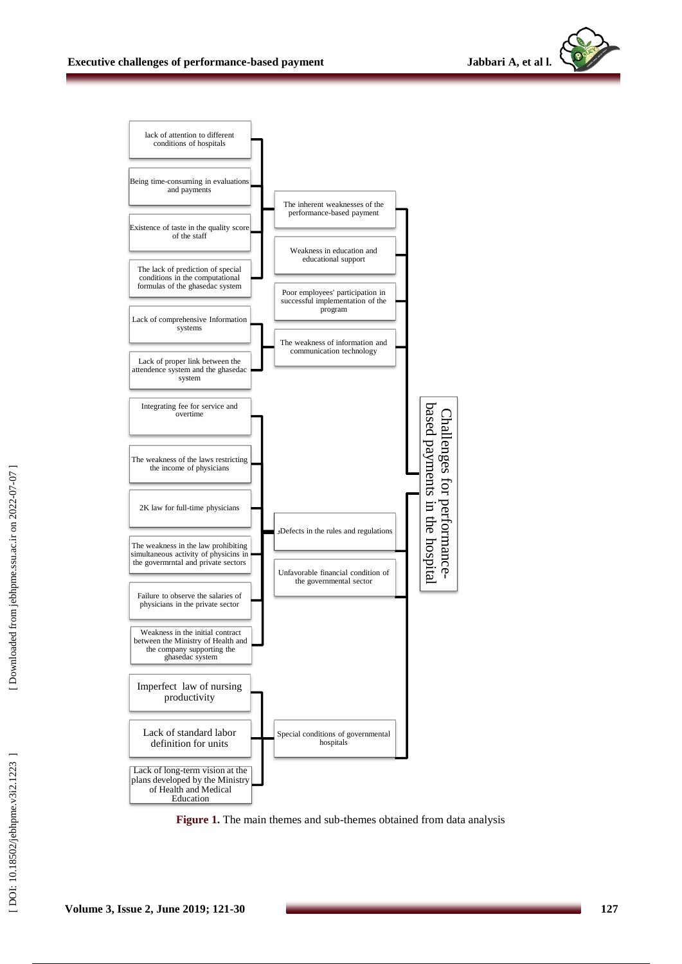



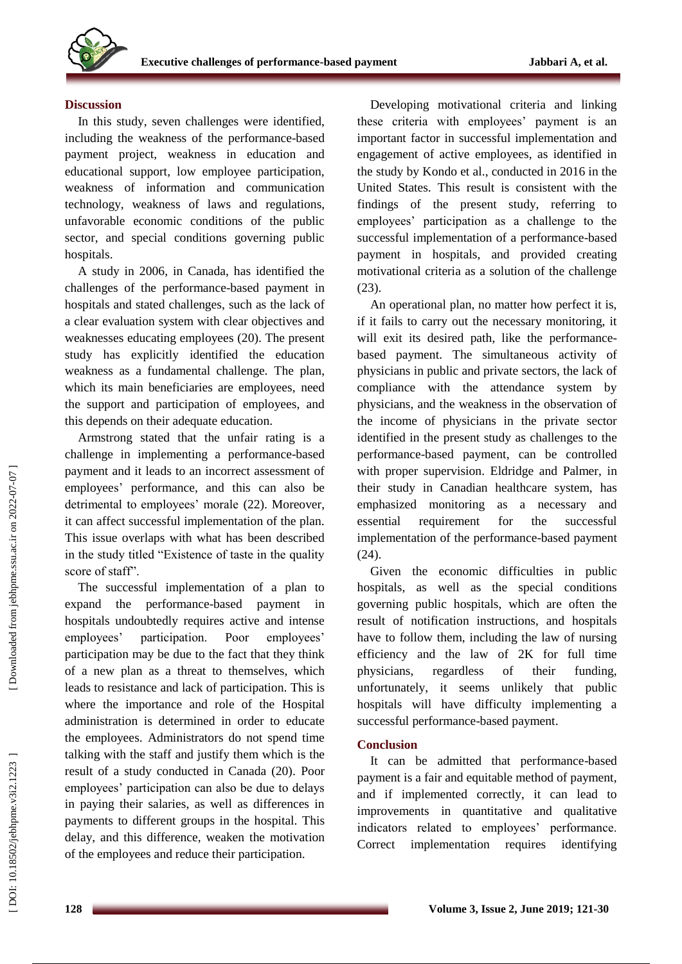

#### **Discussion**

In this study, seven challenges were identified, including the weakness of the performance -based payment project, weakness in education and educational support, low employee participation, weakness of information and communication technology, weakness of laws and regulations, unfavorable economic conditions of the public sector, and special conditions governing public hospitals.

A study in 2006, in Canada, has identified the challenges of the performance -based payment in hospitals and stated challenges , such as the lack of a clear evaluation system with clear objectives and weaknesses educating employee s (20). The present study has explicitly identified the education weakness as a fundamental challenge. The plan, which its main beneficiaries are employees, need the support and participation of employees, and this depends on their adequate education.

Armstrong stated that the unfair rating is a challenge in implementing a performance -based payment and it leads to an incorrect assessment of employees' performance, and this can also be detrimental to employees' morale (22). Moreover, it can affect successful implementation of the plan. This issue overlaps with what has been described in the study titled "Existence of taste in the quality score of staff".

The successful implementation of a plan to expand the performance -based payment in hospitals undoubtedly requires active and intense employees' participation. Poor employees' participation may be due to the fact that they think of a new plan as a threat to themselves, which leads to resistance and lack of participation. This is where the importance and role of the Hospital administration is determined in order to educate the employees. Administrators do not spend time talking with the staff and justify them which is the result of a study conducted in Canada (20). Poor employees' participation can also be due to delays in paying their salaries, as well as differences in payments to different groups in the hospital. This delay, and this difference, weaken the motivation of the employees and reduce their participation.

Developing motivational criteria and linking these criteria with employees' payment is an important factor in successful implementation and engagement of active employees, as identified in the study by Kondo et al., conducted in 2016 in the United States. This result is consistent with the findings of the present study, referring to employees' participation as a challenge to the successful implementation of a performance -based payment in hospitals, and provided creating motivational criteria as a solution of the challenge (23).

An operational plan, no matter how perfect it is, if it fails to carry out the necessary monitoring, it will exit its desired path, like the performancebased payment . The simultaneous activity of physicians in public and private sectors, the lack of compliance with the attendance system by physicians, and the weakness in the observation of the income of physicians in the private sector identified in the present study as challenges to the performance -based payment, can be controlled with proper supervision. Eldridge and Palmer, in their study in Canadian healthcare system, has emphasized monitoring as a necessary and essential requirement for the successful implementation of the performance -based payment (24).

Given the economic difficulties in public hospitals, as well as the special conditions governing public hospitals, which are often the result of notification instructions, and hospitals have to follow them, including the law of nursing efficiency and the law of 2K for full time physicians, regardless of their funding, unfortunately, it seems unlikely that public hospitals will have difficulty implementing a successful performance -based payment .

#### **Conclusion**

It can be admitted that performance -based payment is a fair and equitable method of payment, and if implemented correctly, it can lead to improvements in quantitative and qualitative indicators related to employees' performance. Correct implementation requires identifying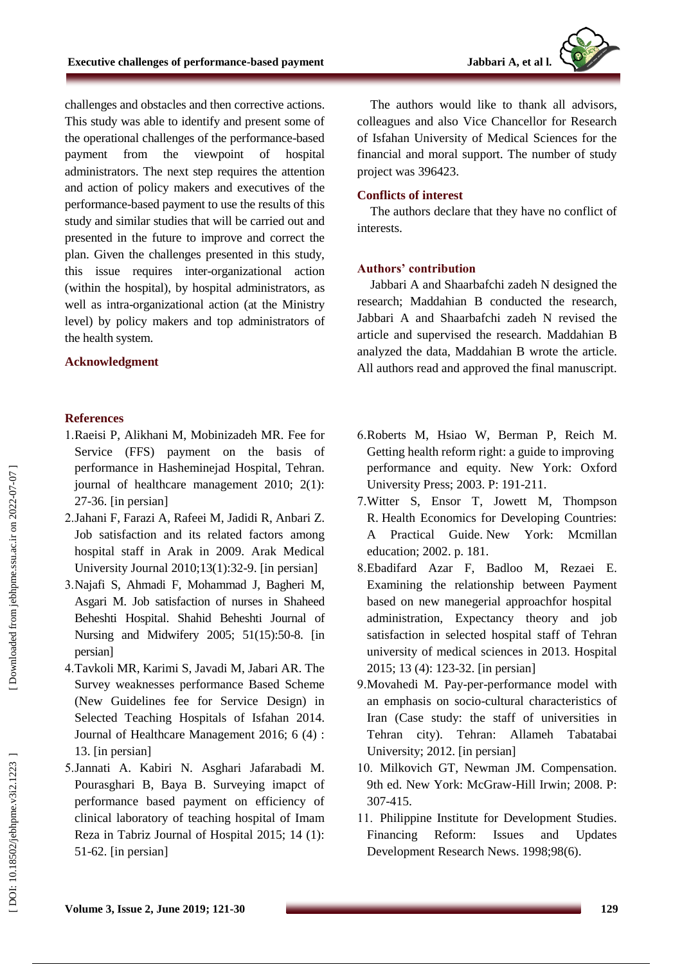challenges and obstacles and then corrective actions. This study was able to identify and present some of the operational challenges of the performance -based payment from the viewpoint of hospital administrators. The next step requires the attention and action of policy makers and executives of the performance -based payment to use the results of this study and similar studies that will be carried out and presented in the future to improve and correct the plan. Given the challenges presented in this study, this issue requires inter -organizational action (within the hospital), by hospital administrators, as well as intra -organizational action (at the Ministry level) by policy makers and top administrators of the health system.

#### **Acknowledgment**

#### **References**

- 1.Raeisi P, Alikhani M, Mobinizadeh MR. Fee for Service (FFS) payment on the basis of performance in Hasheminejad Hospital, Tehran. journal of healthcare management 2010; 2(1): 27 -36. [in persian]
- 2 .Jahani F, Farazi A, Rafeei M, Jadidi R, Anbari Z. Job satisfaction and its related factors among hospital staff in Arak in 2009. Arak Medical University Journal 2010;13(1):32 -9. [in persian]
- 3 .Najafi S, Ahmadi F, Mohammad J, Bagheri M, Asgari M. Job satisfaction of nurses in Shaheed Beheshti Hospital. Shahid Beheshti Journal of Nursing and Midwifery 2005; 51(15):50 -8. [in persian]
- 4 .Tavkoli MR, Karimi S, Javadi M, Jabari AR. The Survey weaknesses performance Based Scheme (New Guidelines fee for Service Design) in Selected Teaching Hospitals of Isfahan 2014. Journal of Healthcare Management 2016; 6 (4) : 13. [in persian]
- 5 .Jannati A. Kabiri N. Asghari Jafarabadi M. Pourasghari B, Baya B. Surveying imapct of performance based payment on efficiency of clinical laboratory of teaching hospital of Imam Reza in Tabriz Journal of Hospital 2015; 14 (1): 51 -62. [in persian]

The authors would like to thank all advisors, colleagues and also Vice Chancellor for Research of Isfahan University of Medical Sciences for the financial and moral support. The number of study project was 396423.

#### **Conflicts of interest**

The authors declare that they have no conflict of interests.

#### **Authors' contribution**

Jabbari A and Shaarbafchi zadeh N designed the research; Maddahian B conducted the research, Jabbari A and Shaarbafchi zadeh N revised the article and supervised the research. Maddahian B analyzed the data, Maddahian B wrote the article. All authors read and approved the final manuscript.

- 6 .Roberts M, Hsiao W, Berman P, Reich M. Getting health reform right: a guide to improving performance and equity. New York: Oxford University Press; 2003. P: 191 -211.
- 7 .Witter S, Ensor T, Jowett M, Thompson R. Health Economics for Developing Countries: A Practical Guide. New York: Mcmillan education; 2002. p. 181.
- 8 .Ebadifard Azar F, Badloo M, Rezaei E. Examining the relationship between Payment based on new manegerial approachfor hospital administration, Expectancy theory and job satisfaction in selected hospital staff of Tehran university of medical sciences in 2013. Hospital 2015; 13 (4): 123 -32. [in persian]
- 9 .Movahedi M. Pay -per -performance model with an emphasis on socio -cultural characteristics of Iran (Case study: the staff of universities in Tehran city). Tehran: Allameh Tabatabai University; 2012. [in persian]
- 10 . Milkovich GT, Newman JM. Compensation. 9th ed. New York: McGraw -Hill Irwin; 2008. P: 307 -415.
- 11 . Philippine Institute for Development Studies. Financing Reform: Issues and Updates Development Research News. 1998;98(6).